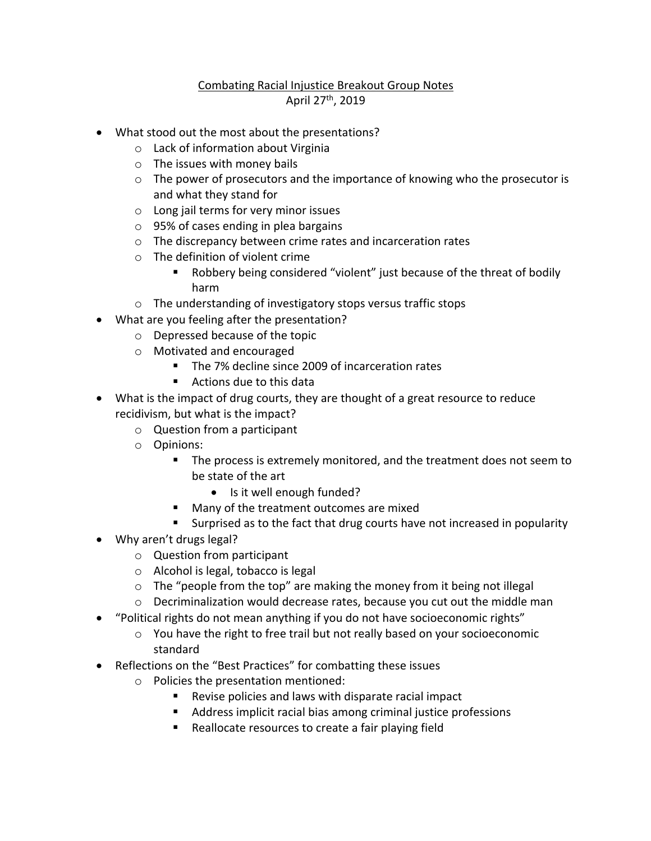## Combating Racial Injustice Breakout Group Notes April 27th, 2019

- What stood out the most about the presentations?
	- o Lack of information about Virginia
	- o The issues with money bails
	- $\circ$  The power of prosecutors and the importance of knowing who the prosecutor is and what they stand for
	- o Long jail terms for very minor issues
	- o 95% of cases ending in plea bargains
	- o The discrepancy between crime rates and incarceration rates
	- o The definition of violent crime
		- Robbery being considered "violent" just because of the threat of bodily harm
	- o The understanding of investigatory stops versus traffic stops
- What are you feeling after the presentation?
	- o Depressed because of the topic
	- o Motivated and encouraged
		- The 7% decline since 2009 of incarceration rates
		- Actions due to this data
- What is the impact of drug courts, they are thought of a great resource to reduce recidivism, but what is the impact?
	- o Question from a participant
	- o Opinions:
		- The process is extremely monitored, and the treatment does not seem to be state of the art
			- Is it well enough funded?
		- Many of the treatment outcomes are mixed
		- Surprised as to the fact that drug courts have not increased in popularity
- Why aren't drugs legal?
	- o Question from participant
	- o Alcohol is legal, tobacco is legal
	- o The "people from the top" are making the money from it being not illegal
	- $\circ$  Decriminalization would decrease rates, because you cut out the middle man
- "Political rights do not mean anything if you do not have socioeconomic rights"
	- $\circ$  You have the right to free trail but not really based on your socioeconomic standard
- Reflections on the "Best Practices" for combatting these issues
	- o Policies the presentation mentioned:
		- Revise policies and laws with disparate racial impact
		- Address implicit racial bias among criminal justice professions
		- Reallocate resources to create a fair playing field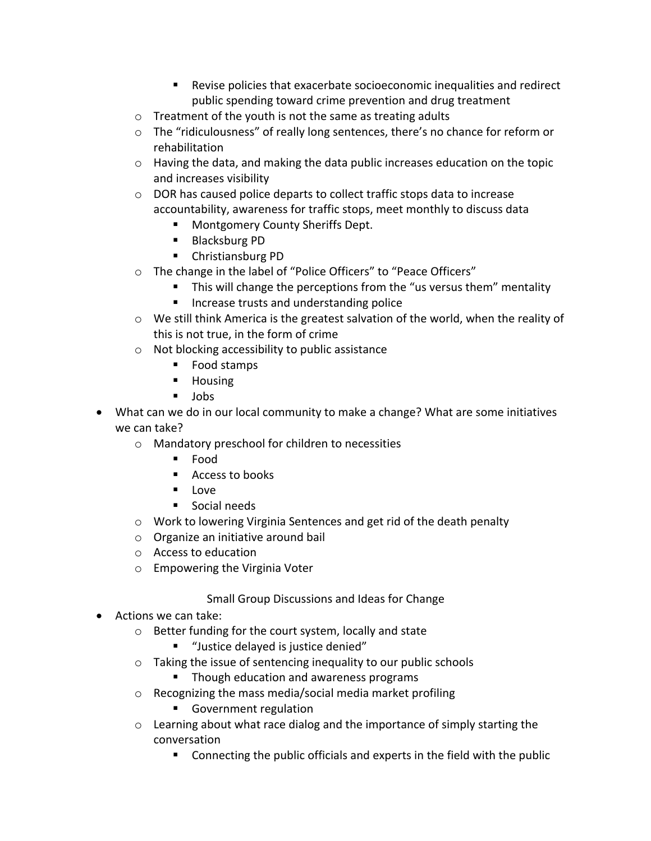- Revise policies that exacerbate socioeconomic inequalities and redirect public spending toward crime prevention and drug treatment
- o Treatment of the youth is not the same as treating adults
- o The "ridiculousness" of really long sentences, there's no chance for reform or rehabilitation
- o Having the data, and making the data public increases education on the topic and increases visibility
- o DOR has caused police departs to collect traffic stops data to increase accountability, awareness for traffic stops, meet monthly to discuss data
	- Montgomery County Sheriffs Dept.
	- Blacksburg PD
	- Christiansburg PD
- o The change in the label of "Police Officers" to "Peace Officers"
	- This will change the perceptions from the "us versus them" mentality
	- Increase trusts and understanding police
- $\circ$  We still think America is the greatest salvation of the world, when the reality of this is not true, in the form of crime
- o Not blocking accessibility to public assistance
	- Food stamps
	- Housing
	- Jobs
- What can we do in our local community to make a change? What are some initiatives we can take?
	- o Mandatory preschool for children to necessities
		- Food
		- Access to books
		- Love
		- Social needs
	- o Work to lowering Virginia Sentences and get rid of the death penalty
	- o Organize an initiative around bail
	- o Access to education
	- o Empowering the Virginia Voter

## Small Group Discussions and Ideas for Change

- Actions we can take:
	- o Better funding for the court system, locally and state
		- "Justice delayed is justice denied"
	- o Taking the issue of sentencing inequality to our public schools
		- Though education and awareness programs
	- o Recognizing the mass media/social media market profiling
		- Government regulation
	- $\circ$  Learning about what race dialog and the importance of simply starting the conversation
		- Connecting the public officials and experts in the field with the public